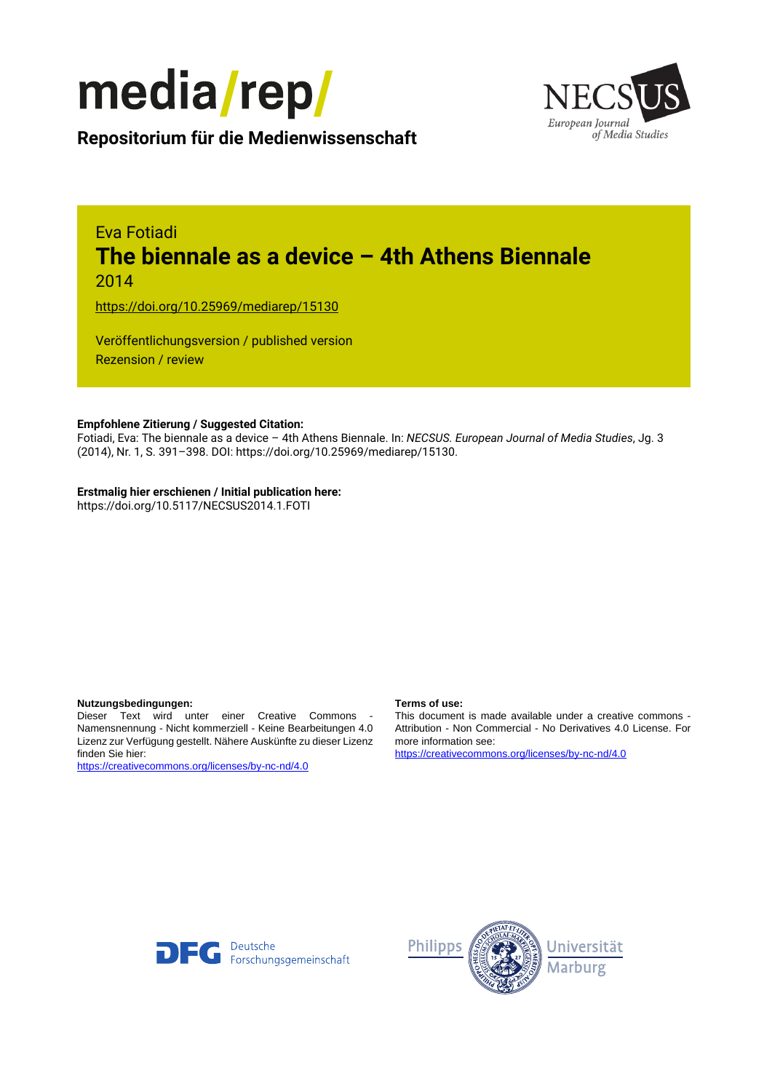



**Repositorium für die [Medienwissenschaft](https://mediarep.org)**

# Eva Fotiadi **The biennale as a device – 4th Athens Biennale** 2014

<https://doi.org/10.25969/mediarep/15130>

Veröffentlichungsversion / published version Rezension / review

# **Empfohlene Zitierung / Suggested Citation:**

Fotiadi, Eva: The biennale as a device – 4th Athens Biennale. In: *NECSUS. European Journal of Media Studies*, Jg. 3 (2014), Nr. 1, S. 391–398. DOI: https://doi.org/10.25969/mediarep/15130.

# **Erstmalig hier erschienen / Initial publication here:**

https://doi.org/10.5117/NECSUS2014.1.FOTI

### **Nutzungsbedingungen: Terms of use:**

Dieser Text wird unter einer Creative Commons - Namensnennung - Nicht kommerziell - Keine Bearbeitungen 4.0 Lizenz zur Verfügung gestellt. Nähere Auskünfte zu dieser Lizenz finden Sie hier:

<https://creativecommons.org/licenses/by-nc-nd/4.0>

This document is made available under a creative commons - Attribution - Non Commercial - No Derivatives 4.0 License. For more information see:

<https://creativecommons.org/licenses/by-nc-nd/4.0>



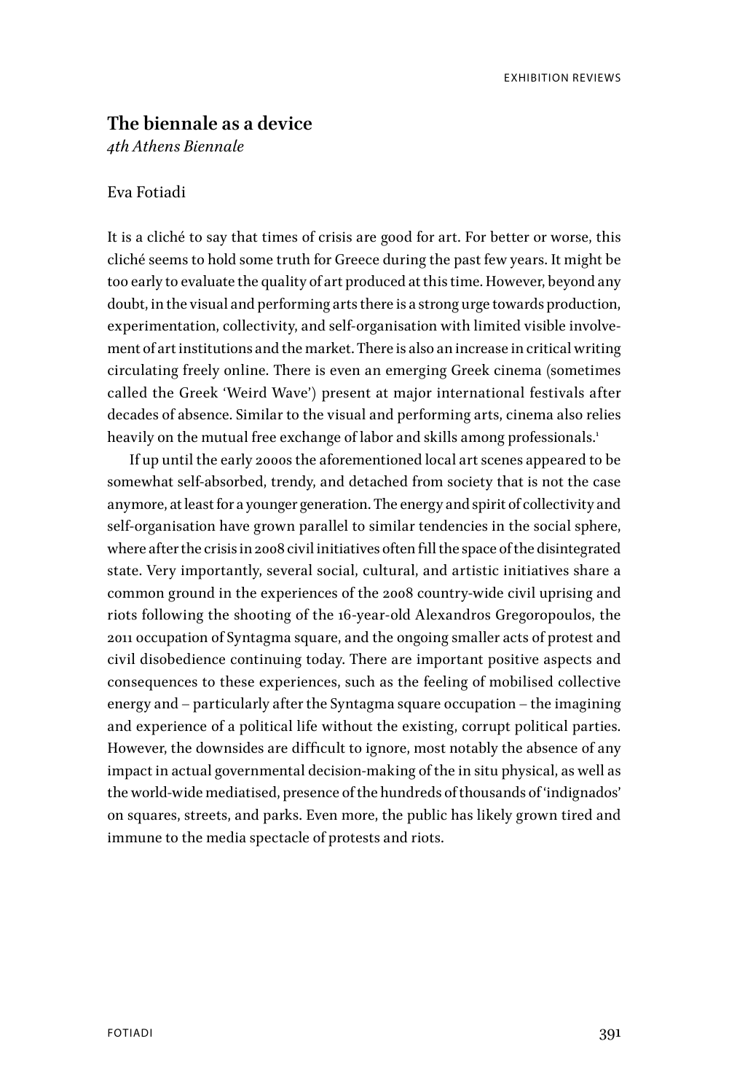# **The biennale as a device**

*4th Athens Biennale*

# Eva Fotiadi

It is a cliché to say that times of crisis are good for art. For better or worse, this cliché seems to hold some truth for Greece during the past few years. It might be too early to evaluate the quality of art produced at this time. However, beyond any doubt, in the visual and performing arts there is a strong urge towards production, experimentation, collectivity, and self-organisation with limited visible involvement of art institutions and the market. There is also an increase in critical writing circulating freely online. There is even an emerging Greek cinema (sometimes called the Greek 'Weird Wave') present at major international festivals after decades of absence. Similar to the visual and performing arts, cinema also relies heavily on the mutual free exchange of labor and skills among professionals.<sup>1</sup>

If up until the early 2000s the aforementioned local art scenes appeared to be somewhat self-absorbed, trendy, and detached from society that is not the case anymore, at least for a younger generation. The energy and spirit of collectivity and self-organisation have grown parallel to similar tendencies in the social sphere, where after the crisis in 2008 civil initiatives often fill the space of the disintegrated state. Very importantly, several social, cultural, and artistic initiatives share a common ground in the experiences of the 2008 country-wide civil uprising and riots following the shooting of the 16-year-old Alexandros Gregoropoulos, the 2011 occupation of Syntagma square, and the ongoing smaller acts of protest and civil disobedience continuing today. There are important positive aspects and consequences to these experiences, such as the feeling of mobilised collective energy and – particularly after the Syntagma square occupation – the imagining and experience of a political life without the existing, corrupt political parties. However, the downsides are difficult to ignore, most notably the absence of any impact in actual governmental decision-making of the in situ physical, as well as the world-wide mediatised, presence of the hundreds of thousands of 'indignados' on squares, streets, and parks. Even more, the public has likely grown tired and immune to the media spectacle of protests and riots.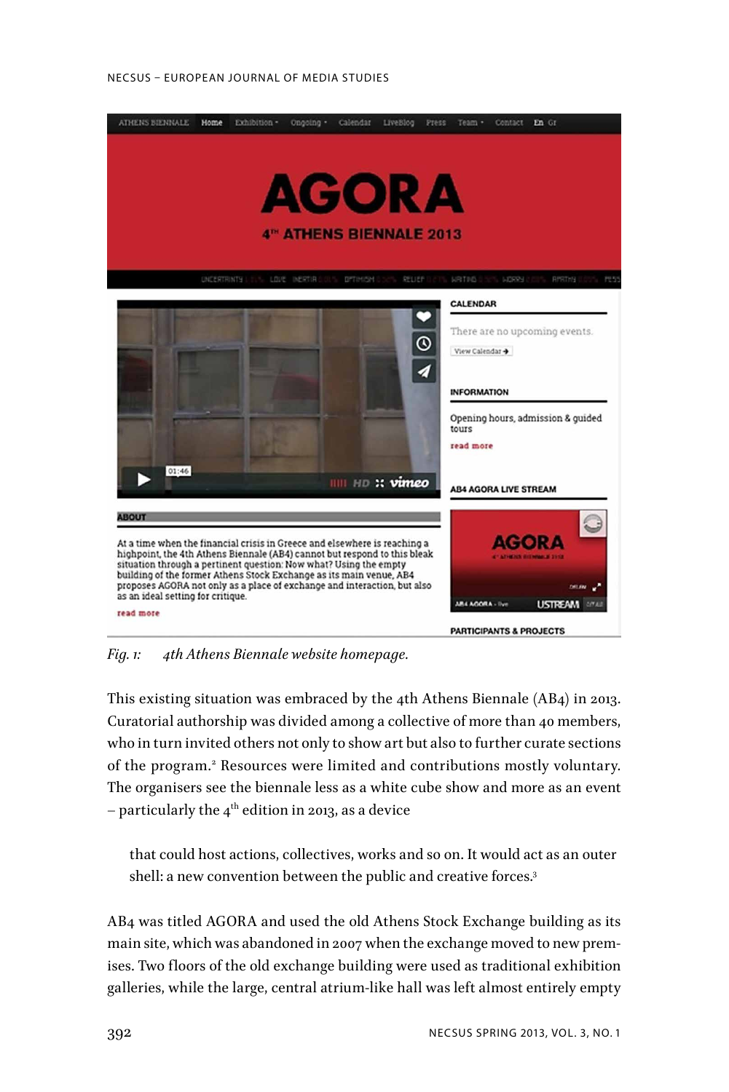#### NECSUS – EUROPEAN JOURNAL OF MEDIA STUDIES



*Fig. 1: 4th Athens Biennale website homepage.*

This existing situation was embraced by the 4th Athens Biennale (AB4) in 2013. Curatorial authorship was divided among a collective of more than 40 members, who in turn invited others not only to show art but also to further curate sections of the program.2 Resources were limited and contributions mostly voluntary. The organisers see the biennale less as a white cube show and more as an event – particularly the  $4<sup>th</sup>$  edition in 2013, as a device

that could host actions, collectives, works and so on. It would act as an outer shell: a new convention between the public and creative forces.<sup>3</sup>

AB4 was titled AGORA and used the old Athens Stock Exchange building as its main site, which was abandoned in 2007 when the exchange moved to new premises. Two floors of the old exchange building were used as traditional exhibition galleries, while the large, central atrium-like hall was left almost entirely empty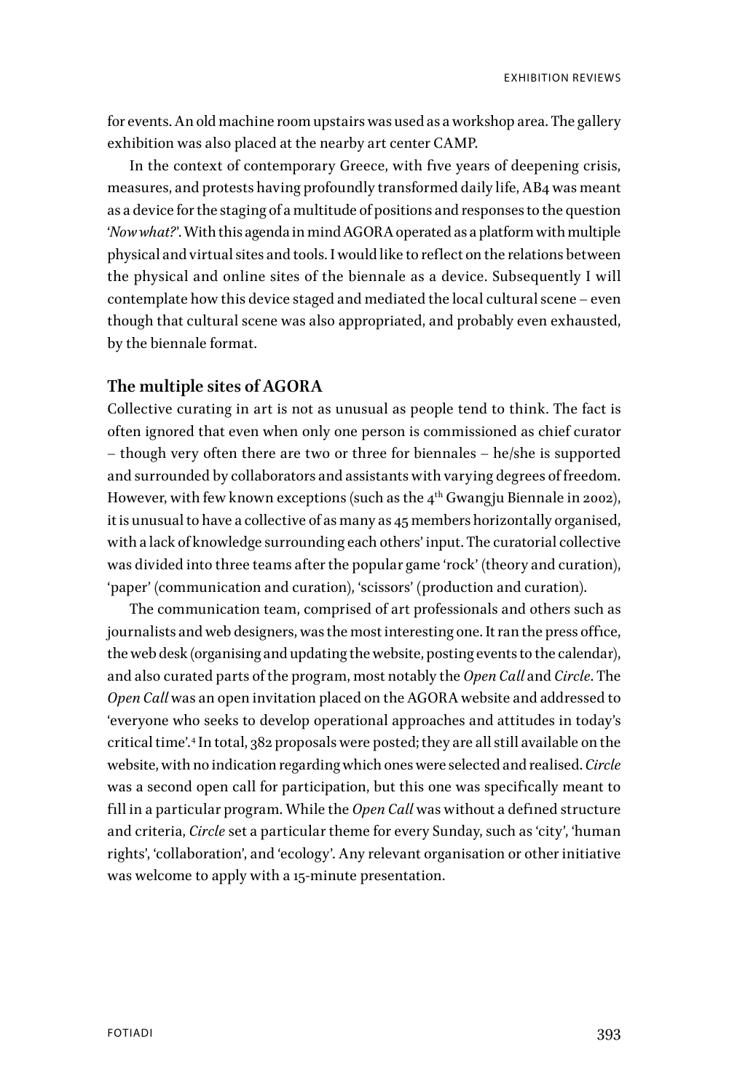for events. An old machine room upstairs was used as a workshop area. The gallery exhibition was also placed at the nearby art center CAMP.

In the context of contemporary Greece, with five years of deepening crisis, measures, and protests having profoundly transformed daily life, AB4 was meant as a device for the staging of a multitude of positions and responses to the question '*Now what?*'. With this agenda in mind AGORA operated as a platform with multiple physical and virtual sites and tools. I would like to reflect on the relations between the physical and online sites of the biennale as a device. Subsequently I will contemplate how this device staged and mediated the local cultural scene – even though that cultural scene was also appropriated, and probably even exhausted, by the biennale format.

# **The multiple sites of AGORA**

Collective curating in art is not as unusual as people tend to think. The fact is often ignored that even when only one person is commissioned as chief curator – though very often there are two or three for biennales – he/she is supported and surrounded by collaborators and assistants with varying degrees of freedom. However, with few known exceptions (such as the  $4<sup>th</sup>$  Gwangju Biennale in 2002), it is unusual to have a collective of as many as 45 members horizontally organised, with a lack of knowledge surrounding each others' input. The curatorial collective was divided into three teams after the popular game 'rock' (theory and curation), 'paper' (communication and curation), 'scissors' (production and curation).

The communication team, comprised of art professionals and others such as journalists and web designers, was the most interesting one. It ran the press office, the web desk (organising and updating the website, posting events to the calendar), and also curated parts of the program, most notably the *Open Call* and *Circle*. The *Open Call* was an open invitation placed on the AGORA website and addressed to 'everyone who seeks to develop operational approaches and attitudes in today's critical time'.4 In total, 382 proposals were posted; they are all still available on the website, with no indication regarding which ones were selected and realised. *Circle* was a second open call for participation, but this one was specifically meant to fill in a particular program. While the *Open Call* was without a defined structure and criteria, *Circle* set a particular theme for every Sunday, such as 'city', 'human rights', 'collaboration', and 'ecology'. Any relevant organisation or other initiative was welcome to apply with a 15-minute presentation.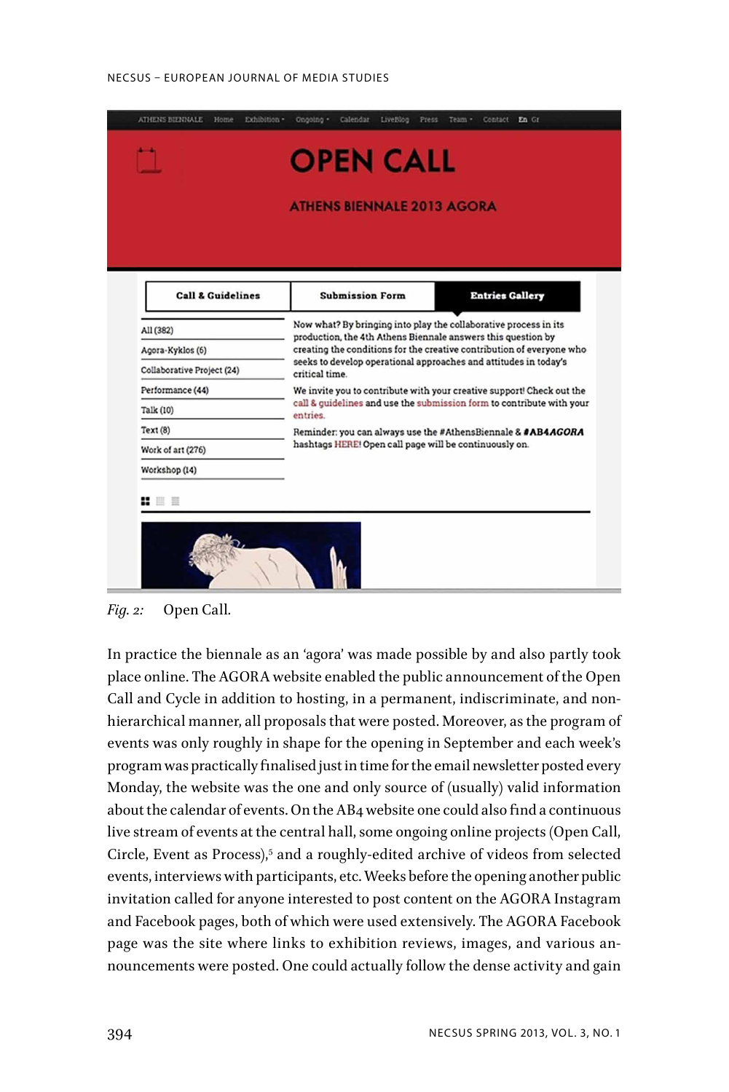#### NECSUS – EUROPEAN JOURNAL OF MEDIA STUDIES



*Fig. 2:* Open Call*.*

In practice the biennale as an 'agora' was made possible by and also partly took place online. The AGORA website enabled the public announcement of the Open Call and Cycle in addition to hosting, in a permanent, indiscriminate, and nonhierarchical manner, all proposals that were posted. Moreover, as the program of events was only roughly in shape for the opening in September and each week's program was practically finalised just in time for the email newsletter posted every Monday, the website was the one and only source of (usually) valid information about the calendar of events. On the AB4 website one could also find a continuous live stream of events at the central hall, some ongoing online projects (Open Call, Circle, Event as Process),<sup>5</sup> and a roughly-edited archive of videos from selected events, interviews with participants, etc. Weeks before the opening another public invitation called for anyone interested to post content on the AGORA Instagram and Facebook pages, both of which were used extensively. The AGORA Facebook page was the site where links to exhibition reviews, images, and various announcements were posted. One could actually follow the dense activity and gain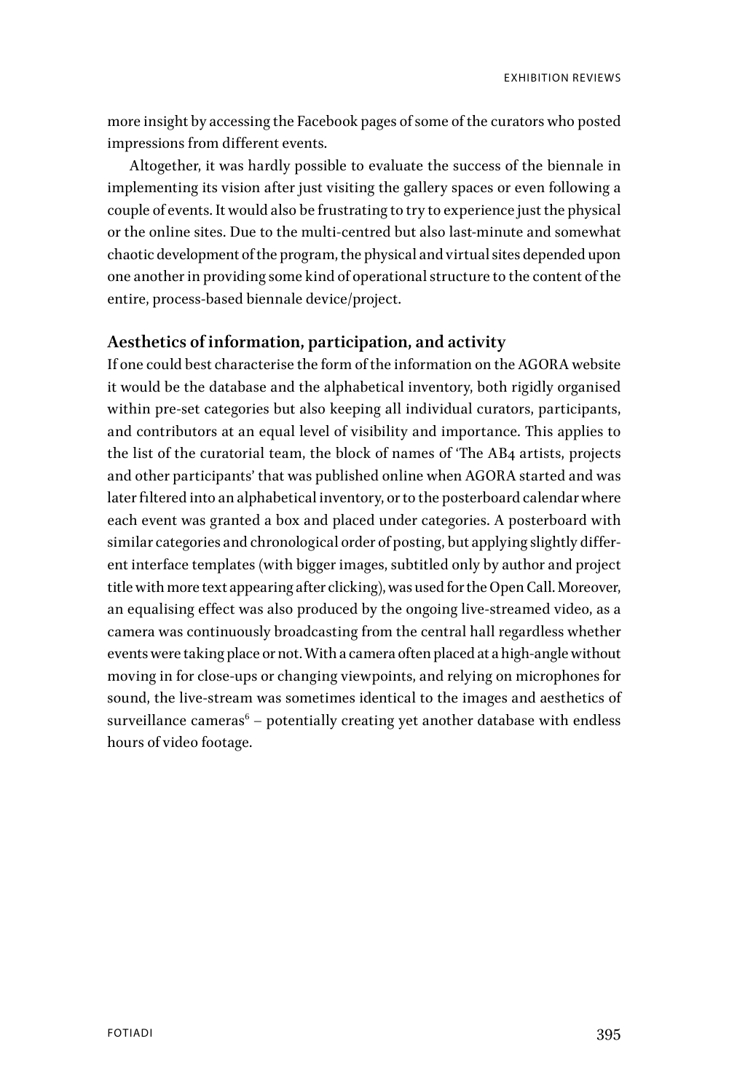more insight by accessing the Facebook pages of some of the curators who posted impressions from different events.

Altogether, it was hardly possible to evaluate the success of the biennale in implementing its vision after just visiting the gallery spaces or even following a couple of events. It would also be frustrating to try to experience just the physical or the online sites. Due to the multi-centred but also last-minute and somewhat chaotic development of the program, the physical and virtual sites depended upon one another in providing some kind of operational structure to the content of the entire, process-based biennale device/project.

# **Aesthetics of information, participation, and activity**

If one could best characterise the form of the information on the AGORA website it would be the database and the alphabetical inventory, both rigidly organised within pre-set categories but also keeping all individual curators, participants, and contributors at an equal level of visibility and importance. This applies to the list of the curatorial team, the block of names of 'The AB4 artists, projects and other participants' that was published online when AGORA started and was later filtered into an alphabetical inventory, or to the posterboard calendar where each event was granted a box and placed under categories. A posterboard with similar categories and chronological order of posting, but applying slightly different interface templates (with bigger images, subtitled only by author and project title with more text appearing after clicking), was used for the Open Call. Moreover, an equalising effect was also produced by the ongoing live-streamed video, as a camera was continuously broadcasting from the central hall regardless whether events were taking place or not. With a camera often placed at a high-angle without moving in for close-ups or changing viewpoints, and relying on microphones for sound, the live-stream was sometimes identical to the images and aesthetics of surveillance cameras $\rm ^6$  – potentially creating yet another database with endless hours of video footage.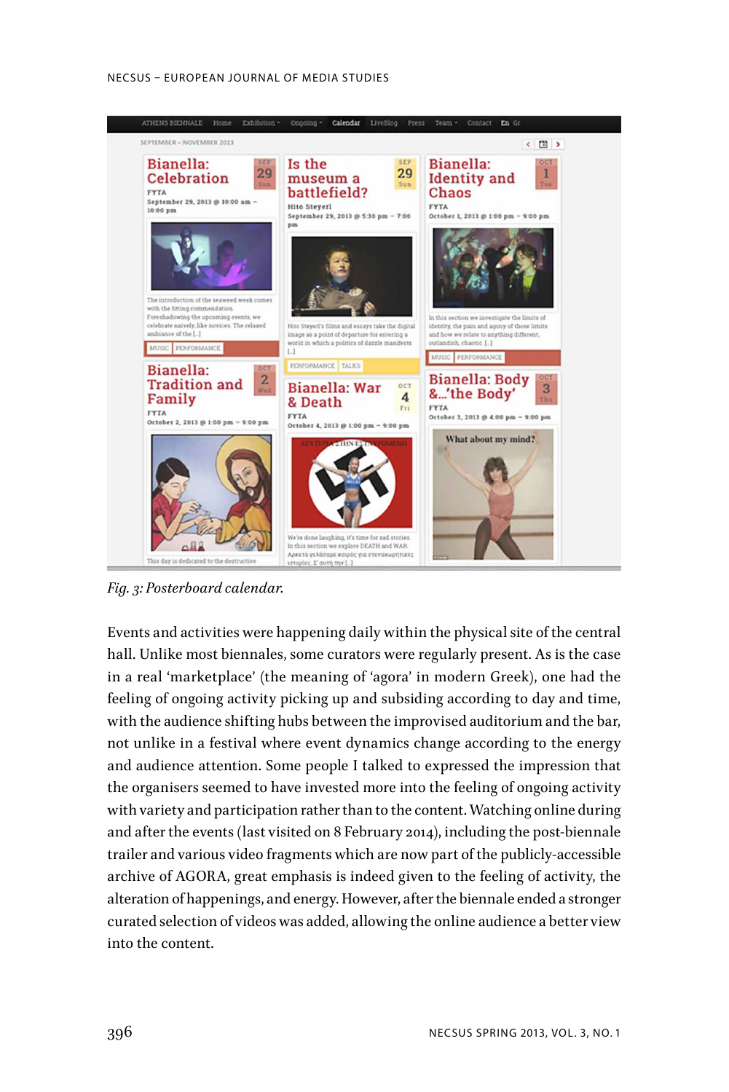#### NECSUS – EUROPEAN JOURNAL OF MEDIA STUDIES



*Fig. 3: Posterboard calendar.*

Events and activities were happening daily within the physical site of the central hall. Unlike most biennales, some curators were regularly present. As is the case in a real 'marketplace' (the meaning of 'agora' in modern Greek), one had the feeling of ongoing activity picking up and subsiding according to day and time, with the audience shifting hubs between the improvised auditorium and the bar, not unlike in a festival where event dynamics change according to the energy and audience attention. Some people I talked to expressed the impression that the organisers seemed to have invested more into the feeling of ongoing activity with variety and participation rather than to the content. Watching online during and after the events (last visited on 8 February 2014), including the post-biennale trailer and various video fragments which are now part of the publicly-accessible archive of AGORA, great emphasis is indeed given to the feeling of activity, the alteration of happenings, and energy. However, after the biennale ended a stronger curated selection of videos was added, allowing the online audience a better view into the content.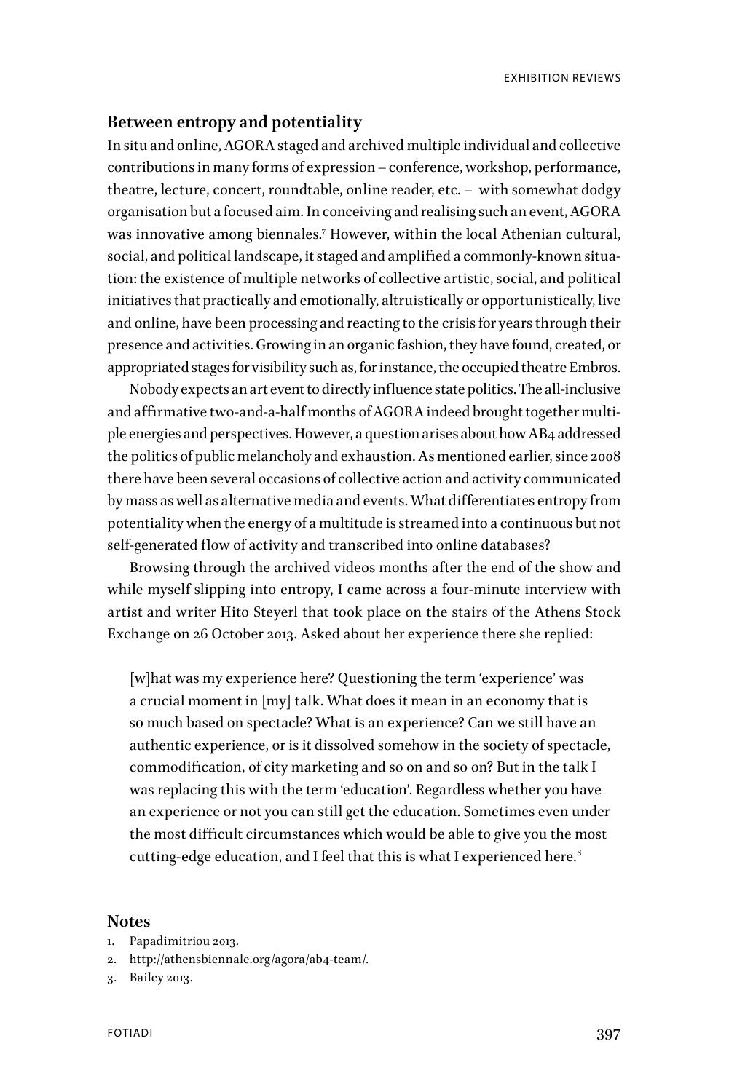# **Between entropy and potentiality**

In situ and online, AGORA staged and archived multiple individual and collective contributions in many forms of expression – conference, workshop, performance, theatre, lecture, concert, roundtable, online reader, etc. – with somewhat dodgy organisation but a focused aim. In conceiving and realising such an event, AGORA was innovative among biennales.7 However, within the local Athenian cultural, social, and political landscape, it staged and amplified a commonly-known situation: the existence of multiple networks of collective artistic, social, and political initiatives that practically and emotionally, altruistically or opportunistically, live and online, have been processing and reacting to the crisis for years through their presence and activities. Growing in an organic fashion, they have found, created, or appropriated stages for visibility such as, for instance, the occupied theatre Embros.

Nobody expects an art event to directly influence state politics. The all-inclusive and affirmative two-and-a-half months of AGORA indeed brought together multiple energies and perspectives. However, a question arises about how AB4 addressed the politics of public melancholy and exhaustion. As mentioned earlier, since 2008 there have been several occasions of collective action and activity communicated by mass as well as alternative media and events. What differentiates entropy from potentiality when the energy of a multitude is streamed into a continuous but not self-generated flow of activity and transcribed into online databases?

Browsing through the archived videos months after the end of the show and while myself slipping into entropy, I came across a four-minute interview with artist and writer Hito Steyerl that took place on the stairs of the Athens Stock Exchange on 26 October 2013. Asked about her experience there she replied:

[w]hat was my experience here? Questioning the term 'experience' was a crucial moment in [my] talk. What does it mean in an economy that is so much based on spectacle? What is an experience? Can we still have an authentic experience, or is it dissolved somehow in the society of spectacle, commodification, of city marketing and so on and so on? But in the talk I was replacing this with the term 'education'. Regardless whether you have an experience or not you can still get the education. Sometimes even under the most difficult circumstances which would be able to give you the most cutting-edge education, and I feel that this is what I experienced here.<sup>8</sup>

### **Notes**

- 1. Papadimitriou 2013.
- 2. http://athensbiennale.org/agora/ab4-team/.
- 3. Bailey 2013.